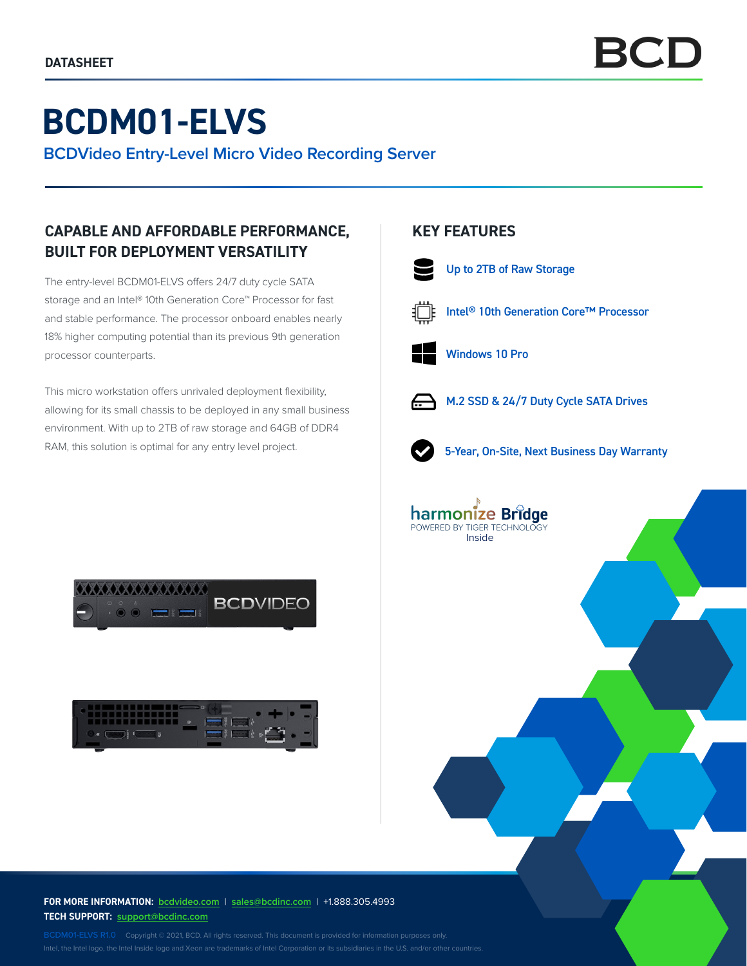# **BCDM01-ELVS**

**BCDVideo Entry-Level Micro Video Recording Server**

## **CAPABLE AND AFFORDABLE PERFORMANCE, BUILT FOR DEPLOYMENT VERSATILITY**

The entry-level BCDM01-ELVS offers 24/7 duty cycle SATA storage and an Intel® 10th Generation Core™ Processor for fast and stable performance. The processor onboard enables nearly 18% higher computing potential than its previous 9th generation processor counterparts.

This micro workstation offers unrivaled deployment flexibility, allowing for its small chassis to be deployed in any small business environment. With up to 2TB of raw storage and 64GB of DDR4 RAM, this solution is optimal for any entry level project.





## **KEY FEATURES**



Up to 2TB of Raw Storage



Intel® 10th Generation Core™ Processor



Windows 10 Pro



M.2 SSD & 24/7 Duty Cycle SATA Drives



5-Year, On-Site, Next Business Day Warranty



**FOR MORE INFORMATION: bcdvideo.com** | **[sales@bcdinc.com](mailto:sales%40bcdinc.com?subject=)** | +1.888.305.4993 **TECH SUPPORT: [support@bcdinc.com](mailto:support%40bcdinc.com?subject=)**

Intel, the Intel logo, the Intel Inside logo and Xeon are trademarks of Intel Corporation or its subsidiaries in the U.S. and/or other countries.